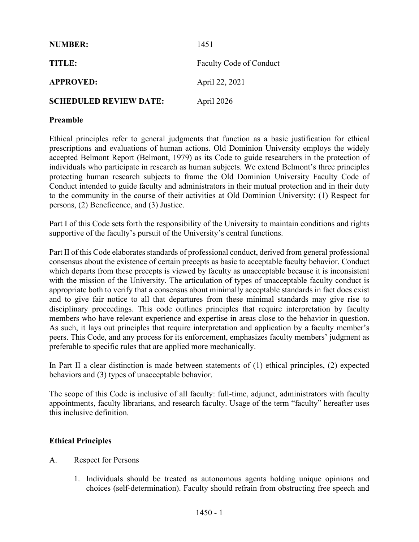| <b>NUMBER:</b>                | 1451                    |
|-------------------------------|-------------------------|
| TITLE:                        | Faculty Code of Conduct |
| <b>APPROVED:</b>              | April 22, 2021          |
| <b>SCHEDULED REVIEW DATE:</b> | April 2026              |

#### **Preamble**

Ethical principles refer to general judgments that function as a basic justification for ethical prescriptions and evaluations of human actions. Old Dominion University employs the widely accepted Belmont Report (Belmont, 1979) as its Code to guide researchers in the protection of individuals who participate in research as human subjects. We extend Belmont's three principles protecting human research subjects to frame the Old Dominion University Faculty Code of Conduct intended to guide faculty and administrators in their mutual protection and in their duty to the community in the course of their activities at Old Dominion University: (1) Respect for persons, (2) Beneficence, and (3) Justice.

Part I of this Code sets forth the responsibility of the University to maintain conditions and rights supportive of the faculty's pursuit of the University's central functions.

Part II of this Code elaborates standards of professional conduct, derived from general professional consensus about the existence of certain precepts as basic to acceptable faculty behavior. Conduct which departs from these precepts is viewed by faculty as unacceptable because it is inconsistent with the mission of the University. The articulation of types of unacceptable faculty conduct is appropriate both to verify that a consensus about minimally acceptable standards in fact does exist and to give fair notice to all that departures from these minimal standards may give rise to disciplinary proceedings. This code outlines principles that require interpretation by faculty members who have relevant experience and expertise in areas close to the behavior in question. As such, it lays out principles that require interpretation and application by a faculty member's peers. This Code, and any process for its enforcement, emphasizes faculty members' judgment as preferable to specific rules that are applied more mechanically.

In Part II a clear distinction is made between statements of (1) ethical principles, (2) expected behaviors and (3) types of unacceptable behavior.

The scope of this Code is inclusive of all faculty: full-time, adjunct, administrators with faculty appointments, faculty librarians, and research faculty. Usage of the term "faculty" hereafter uses this inclusive definition.

# **Ethical Principles**

- A. Respect for Persons
	- 1. Individuals should be treated as autonomous agents holding unique opinions and choices (self-determination). Faculty should refrain from obstructing free speech and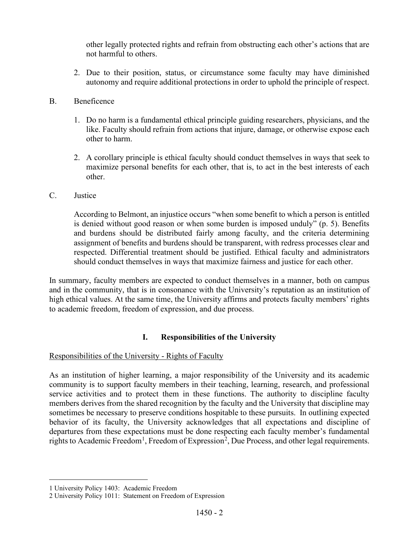other legally protected rights and refrain from obstructing each other's actions that are not harmful to others.

2. Due to their position, status, or circumstance some faculty may have diminished autonomy and require additional protections in order to uphold the principle of respect.

### B. Beneficence

- 1. Do no harm is a fundamental ethical principle guiding researchers, physicians, and the like. Faculty should refrain from actions that injure, damage, or otherwise expose each other to harm.
- 2. A corollary principle is ethical faculty should conduct themselves in ways that seek to maximize personal benefits for each other, that is, to act in the best interests of each other.

#### C. Justice

According to Belmont, an injustice occurs "when some benefit to which a person is entitled is denied without good reason or when some burden is imposed unduly" (p. 5). Benefits and burdens should be distributed fairly among faculty, and the criteria determining assignment of benefits and burdens should be transparent, with redress processes clear and respected. Differential treatment should be justified. Ethical faculty and administrators should conduct themselves in ways that maximize fairness and justice for each other.

In summary, faculty members are expected to conduct themselves in a manner, both on campus and in the community, that is in consonance with the University's reputation as an institution of high ethical values. At the same time, the University affirms and protects faculty members' rights to academic freedom, freedom of expression, and due process.

# **I. Responsibilities of the University**

# Responsibilities of the University - Rights of Faculty

As an institution of higher learning, a major responsibility of the University and its academic community is to support faculty members in their teaching, learning, research, and professional service activities and to protect them in these functions. The authority to discipline faculty members derives from the shared recognition by the faculty and the University that discipline may sometimes be necessary to preserve conditions hospitable to these pursuits. In outlining expected behavior of its faculty, the University acknowledges that all expectations and discipline of departures from these expectations must be done respecting each faculty member's fundamental rights to Academic Freedom<sup>[1](#page-1-0)</sup>, Freedom of Expression<sup>[2](#page-1-1)</sup>, Due Process, and other legal requirements.

<span id="page-1-0"></span><sup>1</sup> University Policy 1403: Academic Freedom

<span id="page-1-1"></span><sup>2</sup> University Policy 1011: Statement on Freedom of Expression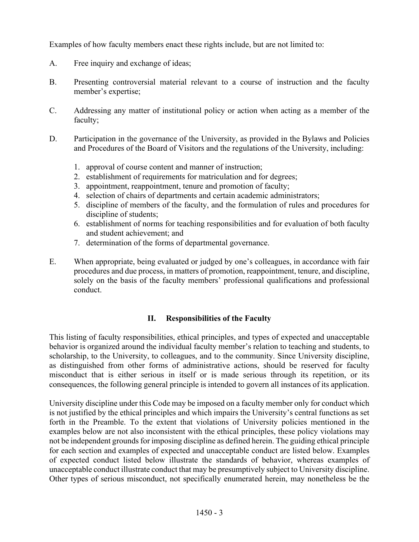Examples of how faculty members enact these rights include, but are not limited to:

- A. Free inquiry and exchange of ideas;
- B. Presenting controversial material relevant to a course of instruction and the faculty member's expertise;
- C. Addressing any matter of institutional policy or action when acting as a member of the faculty;
- D. Participation in the governance of the University, as provided in the Bylaws and Policies and Procedures of the Board of Visitors and the regulations of the University, including:
	- 1. approval of course content and manner of instruction;
	- 2. establishment of requirements for matriculation and for degrees;
	- 3. appointment, reappointment, tenure and promotion of faculty;
	- 4. selection of chairs of departments and certain academic administrators;
	- 5. discipline of members of the faculty, and the formulation of rules and procedures for discipline of students;
	- 6. establishment of norms for teaching responsibilities and for evaluation of both faculty and student achievement; and
	- 7. determination of the forms of departmental governance.
- E. When appropriate, being evaluated or judged by one's colleagues, in accordance with fair procedures and due process, in matters of promotion, reappointment, tenure, and discipline, solely on the basis of the faculty members' professional qualifications and professional conduct.

# **II. Responsibilities of the Faculty**

This listing of faculty responsibilities, ethical principles, and types of expected and unacceptable behavior is organized around the individual faculty member's relation to teaching and students, to scholarship, to the University, to colleagues, and to the community. Since University discipline, as distinguished from other forms of administrative actions, should be reserved for faculty misconduct that is either serious in itself or is made serious through its repetition, or its consequences, the following general principle is intended to govern all instances of its application.

University discipline under this Code may be imposed on a faculty member only for conduct which is not justified by the ethical principles and which impairs the University's central functions as set forth in the Preamble. To the extent that violations of University policies mentioned in the examples below are not also inconsistent with the ethical principles, these policy violations may not be independent grounds for imposing discipline as defined herein. The guiding ethical principle for each section and examples of expected and unacceptable conduct are listed below. Examples of expected conduct listed below illustrate the standards of behavior, whereas examples of unacceptable conduct illustrate conduct that may be presumptively subject to University discipline. Other types of serious misconduct, not specifically enumerated herein, may nonetheless be the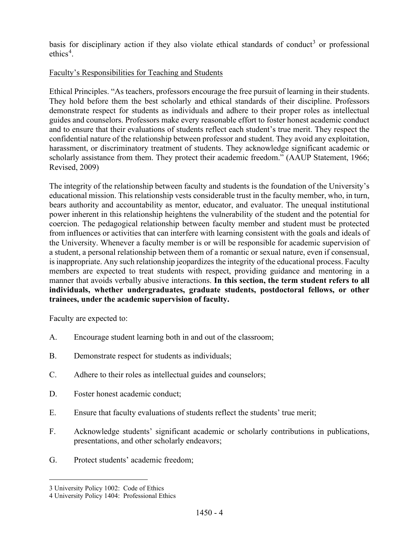basis for disciplinary action if they also violate ethical standards of conduct<sup>[3](#page-3-0)</sup> or professional ethics<sup>[4](#page-3-1)</sup>.

# Faculty's Responsibilities for Teaching and Students

Ethical Principles. "As teachers, professors encourage the free pursuit of learning in their students. They hold before them the best scholarly and ethical standards of their discipline. Professors demonstrate respect for students as individuals and adhere to their proper roles as intellectual guides and counselors. Professors make every reasonable effort to foster honest academic conduct and to ensure that their evaluations of students reflect each student's true merit. They respect the confidential nature of the relationship between professor and student. They avoid any exploitation, harassment, or discriminatory treatment of students. They acknowledge significant academic or scholarly assistance from them. They protect their academic freedom." (AAUP Statement, 1966; Revised, 2009)

The integrity of the relationship between faculty and students is the foundation of the University's educational mission. This relationship vests considerable trust in the faculty member, who, in turn, bears authority and accountability as mentor, educator, and evaluator. The unequal institutional power inherent in this relationship heightens the vulnerability of the student and the potential for coercion. The pedagogical relationship between faculty member and student must be protected from influences or activities that can interfere with learning consistent with the goals and ideals of the University. Whenever a faculty member is or will be responsible for academic supervision of a student, a personal relationship between them of a romantic or sexual nature, even if consensual, is inappropriate. Any such relationship jeopardizes the integrity of the educational process. Faculty members are expected to treat students with respect, providing guidance and mentoring in a manner that avoids verbally abusive interactions. **In this section, the term student refers to all individuals, whether undergraduates, graduate students, postdoctoral fellows, or other trainees, under the academic supervision of faculty.**

- A. Encourage student learning both in and out of the classroom;
- B. Demonstrate respect for students as individuals;
- C. Adhere to their roles as intellectual guides and counselors;
- D. Foster honest academic conduct;
- E. Ensure that faculty evaluations of students reflect the students' true merit;
- F. Acknowledge students' significant academic or scholarly contributions in publications, presentations, and other scholarly endeavors;
- G. Protect students' academic freedom;

<span id="page-3-0"></span><sup>3</sup> University Policy 1002: Code of Ethics

<span id="page-3-1"></span><sup>4</sup> University Policy 1404: Professional Ethics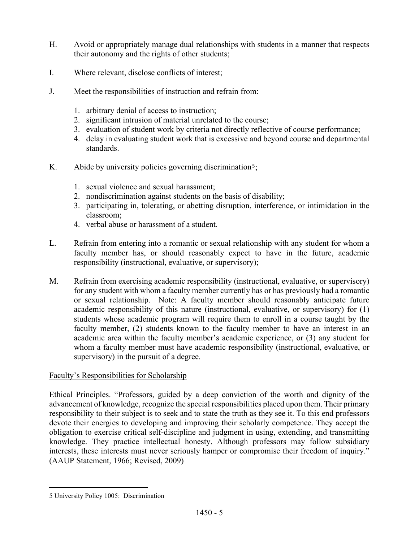- H. Avoid or appropriately manage dual relationships with students in a manner that respects their autonomy and the rights of other students;
- I. Where relevant, disclose conflicts of interest;
- J. Meet the responsibilities of instruction and refrain from:
	- 1. arbitrary denial of access to instruction;
	- 2. significant intrusion of material unrelated to the course;
	- 3. evaluation of student work by criteria not directly reflective of course performance;
	- 4. delay in evaluating student work that is excessive and beyond course and departmental standards.
- K. Abide by university policies governing discrimination<sup>[5](#page-4-0)</sup>;
	- 1. sexual violence and sexual harassment;
	- 2. nondiscrimination against students on the basis of disability;
	- 3. participating in, tolerating, or abetting disruption, interference, or intimidation in the classroom;
	- 4. verbal abuse or harassment of a student.
- L. Refrain from entering into a romantic or sexual relationship with any student for whom a faculty member has, or should reasonably expect to have in the future, academic responsibility (instructional, evaluative, or supervisory);
- M. Refrain from exercising academic responsibility (instructional, evaluative, or supervisory) for any student with whom a faculty member currently has or has previously had a romantic or sexual relationship. Note: A faculty member should reasonably anticipate future academic responsibility of this nature (instructional, evaluative, or supervisory) for (1) students whose academic program will require them to enroll in a course taught by the faculty member, (2) students known to the faculty member to have an interest in an academic area within the faculty member's academic experience, or (3) any student for whom a faculty member must have academic responsibility (instructional, evaluative, or supervisory) in the pursuit of a degree.

#### Faculty's Responsibilities for Scholarship

Ethical Principles. "Professors, guided by a deep conviction of the worth and dignity of the advancement of knowledge, recognize the special responsibilities placed upon them. Their primary responsibility to their subject is to seek and to state the truth as they see it. To this end professors devote their energies to developing and improving their scholarly competence. They accept the obligation to exercise critical self-discipline and judgment in using, extending, and transmitting knowledge. They practice intellectual honesty. Although professors may follow subsidiary interests, these interests must never seriously hamper or compromise their freedom of inquiry." (AAUP Statement, 1966; Revised, 2009)

<span id="page-4-0"></span><sup>5</sup> University Policy 1005: Discrimination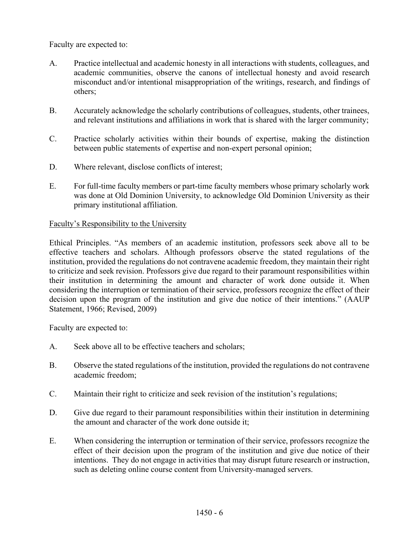Faculty are expected to:

- A. Practice intellectual and academic honesty in all interactions with students, colleagues, and academic communities, observe the canons of intellectual honesty and avoid research misconduct and/or intentional misappropriation of the writings, research, and findings of others;
- B. Accurately acknowledge the scholarly contributions of colleagues, students, other trainees, and relevant institutions and affiliations in work that is shared with the larger community;
- C. Practice scholarly activities within their bounds of expertise, making the distinction between public statements of expertise and non-expert personal opinion;
- D. Where relevant, disclose conflicts of interest;
- E. For full-time faculty members or part-time faculty members whose primary scholarly work was done at Old Dominion University, to acknowledge Old Dominion University as their primary institutional affiliation.

#### Faculty's Responsibility to the University

Ethical Principles. "As members of an academic institution, professors seek above all to be effective teachers and scholars. Although professors observe the stated regulations of the institution, provided the regulations do not contravene academic freedom, they maintain their right to criticize and seek revision. Professors give due regard to their paramount responsibilities within their institution in determining the amount and character of work done outside it. When considering the interruption or termination of their service, professors recognize the effect of their decision upon the program of the institution and give due notice of their intentions." (AAUP Statement, 1966; Revised, 2009)

- A. Seek above all to be effective teachers and scholars;
- B. Observe the stated regulations of the institution, provided the regulations do not contravene academic freedom;
- C. Maintain their right to criticize and seek revision of the institution's regulations;
- D. Give due regard to their paramount responsibilities within their institution in determining the amount and character of the work done outside it;
- E. When considering the interruption or termination of their service, professors recognize the effect of their decision upon the program of the institution and give due notice of their intentions. They do not engage in activities that may disrupt future research or instruction, such as deleting online course content from University-managed servers.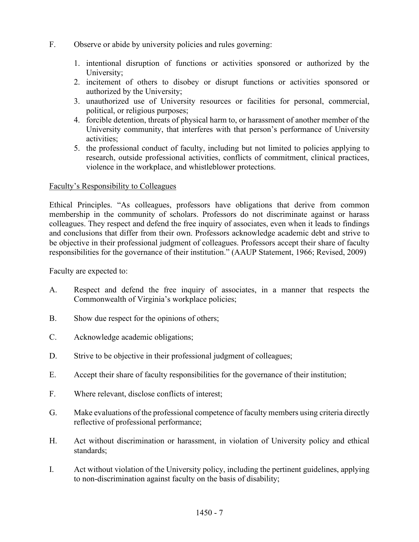- F. Observe or abide by university policies and rules governing:
	- 1. intentional disruption of functions or activities sponsored or authorized by the University;
	- 2. incitement of others to disobey or disrupt functions or activities sponsored or authorized by the University;
	- 3. unauthorized use of University resources or facilities for personal, commercial, political, or religious purposes;
	- 4. forcible detention, threats of physical harm to, or harassment of another member of the University community, that interferes with that person's performance of University activities;
	- 5. the professional conduct of faculty, including but not limited to policies applying to research, outside professional activities, conflicts of commitment, clinical practices, violence in the workplace, and whistleblower protections.

# Faculty's Responsibility to Colleagues

Ethical Principles. "As colleagues, professors have obligations that derive from common membership in the community of scholars. Professors do not discriminate against or harass colleagues. They respect and defend the free inquiry of associates, even when it leads to findings and conclusions that differ from their own. Professors acknowledge academic debt and strive to be objective in their professional judgment of colleagues. Professors accept their share of faculty responsibilities for the governance of their institution." (AAUP Statement, 1966; Revised, 2009)

- A. Respect and defend the free inquiry of associates, in a manner that respects the Commonwealth of Virginia's workplace policies;
- B. Show due respect for the opinions of others;
- C. Acknowledge academic obligations;
- D. Strive to be objective in their professional judgment of colleagues;
- E. Accept their share of faculty responsibilities for the governance of their institution;
- F. Where relevant, disclose conflicts of interest;
- G. Make evaluations of the professional competence of faculty members using criteria directly reflective of professional performance;
- H. Act without discrimination or harassment, in violation of University policy and ethical standards;
- I. Act without violation of the University policy, including the pertinent guidelines, applying to non-discrimination against faculty on the basis of disability;